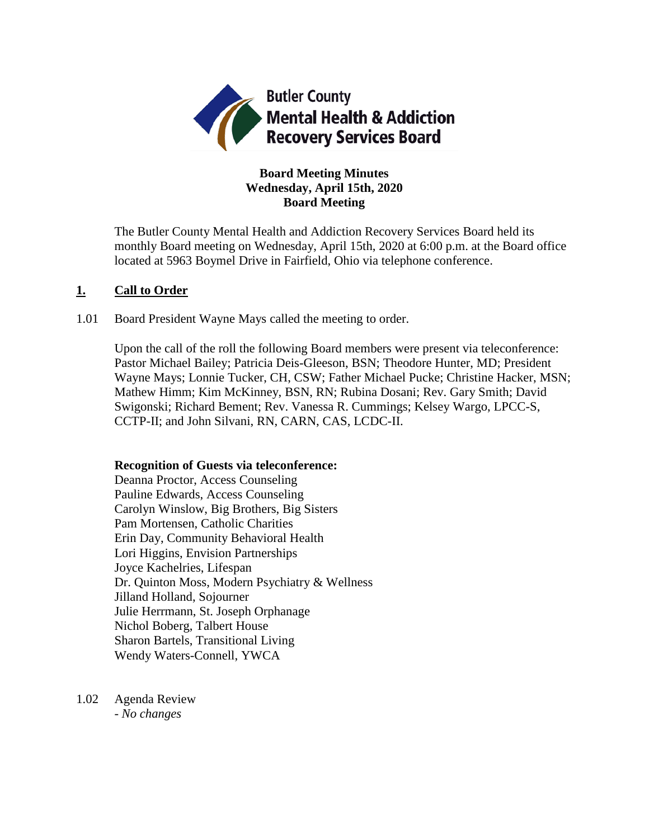

# **Board Meeting Minutes Wednesday, April 15th, 2020 Board Meeting**

The Butler County Mental Health and Addiction Recovery Services Board held its monthly Board meeting on Wednesday, April 15th, 2020 at 6:00 p.m. at the Board office located at 5963 Boymel Drive in Fairfield, Ohio via telephone conference.

# **1. Call to Order**

1.01 Board President Wayne Mays called the meeting to order.

Upon the call of the roll the following Board members were present via teleconference: Pastor Michael Bailey; Patricia Deis-Gleeson, BSN; Theodore Hunter, MD; President Wayne Mays; Lonnie Tucker, CH, CSW; Father Michael Pucke; Christine Hacker, MSN; Mathew Himm; Kim McKinney, BSN, RN; Rubina Dosani; Rev. Gary Smith; David Swigonski; Richard Bement; Rev. Vanessa R. Cummings; Kelsey Wargo, LPCC-S, CCTP-II; and John Silvani, RN, CARN, CAS, LCDC-II.

# **Recognition of Guests via teleconference:**

Deanna Proctor, Access Counseling Pauline Edwards, Access Counseling Carolyn Winslow, Big Brothers, Big Sisters Pam Mortensen, Catholic Charities Erin Day, Community Behavioral Health Lori Higgins, Envision Partnerships Joyce Kachelries, Lifespan Dr. Quinton Moss, Modern Psychiatry & Wellness Jilland Holland, Sojourner Julie Herrmann, St. Joseph Orphanage Nichol Boberg, Talbert House Sharon Bartels, Transitional Living Wendy Waters-Connell, YWCA

1.02 Agenda Review *- No changes*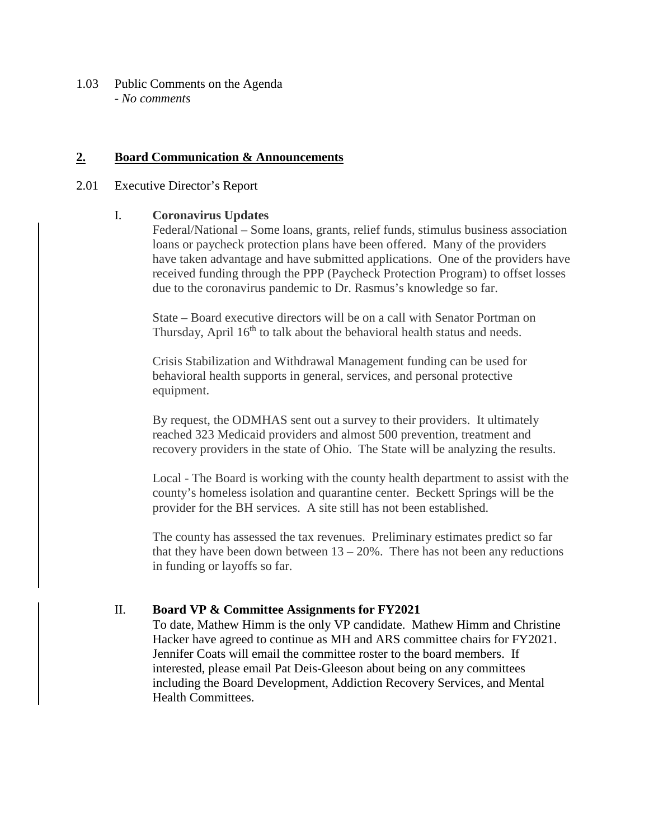1.03 Public Comments on the Agenda - *No comments*

# **2. Board Communication & Announcements**

#### 2.01 Executive Director's Report

# I. **Coronavirus Updates**

Federal/National – Some loans, grants, relief funds, stimulus business association loans or paycheck protection plans have been offered. Many of the providers have taken advantage and have submitted applications. One of the providers have received funding through the PPP (Paycheck Protection Program) to offset losses due to the coronavirus pandemic to Dr. Rasmus's knowledge so far.

State – Board executive directors will be on a call with Senator Portman on Thursday, April 16<sup>th</sup> to talk about the behavioral health status and needs.

Crisis Stabilization and Withdrawal Management funding can be used for behavioral health supports in general, services, and personal protective equipment.

By request, the ODMHAS sent out a survey to their providers. It ultimately reached 323 Medicaid providers and almost 500 prevention, treatment and recovery providers in the state of Ohio. The State will be analyzing the results.

Local - The Board is working with the county health department to assist with the county's homeless isolation and quarantine center. Beckett Springs will be the provider for the BH services. A site still has not been established.

The county has assessed the tax revenues. Preliminary estimates predict so far that they have been down between  $13 - 20\%$ . There has not been any reductions in funding or layoffs so far.

# II. **Board VP & Committee Assignments for FY2021**

To date, Mathew Himm is the only VP candidate. Mathew Himm and Christine Hacker have agreed to continue as MH and ARS committee chairs for FY2021. Jennifer Coats will email the committee roster to the board members. If interested, please email Pat Deis-Gleeson about being on any committees including the Board Development, Addiction Recovery Services, and Mental Health Committees.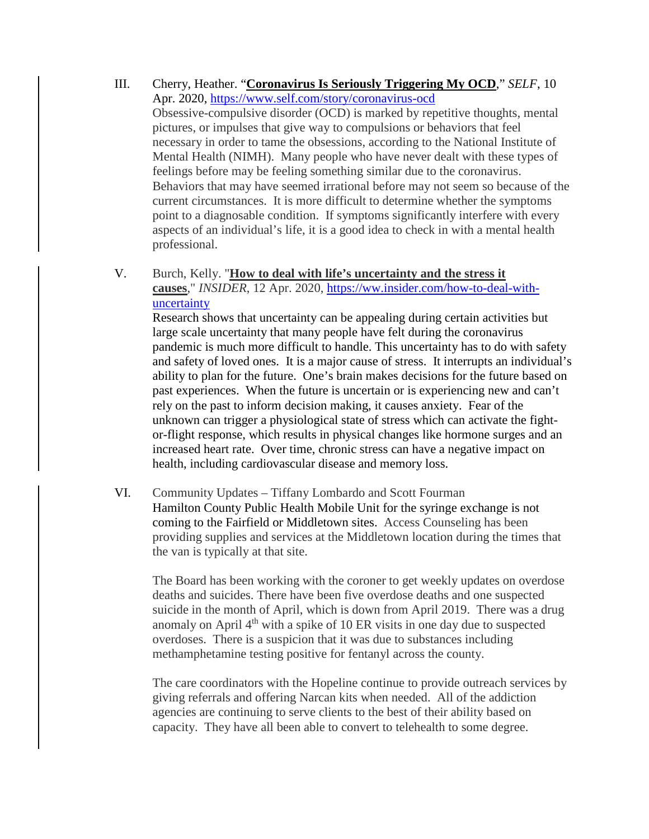- III. Cherry, Heather. "**Coronavirus Is Seriously Triggering My OCD**," *SELF*, 10 Apr. 2020,<https://www.self.com/story/coronavirus-ocd> Obsessive-compulsive disorder (OCD) is marked by repetitive thoughts, mental pictures, or impulses that give way to compulsions or behaviors that feel necessary in order to tame the obsessions, according to the National Institute of Mental Health (NIMH). Many people who have never dealt with these types of feelings before may be feeling something similar due to the coronavirus. Behaviors that may have seemed irrational before may not seem so because of the current circumstances. It is more difficult to determine whether the symptoms point to a diagnosable condition. If symptoms significantly interfere with every aspects of an individual's life, it is a good idea to check in with a mental health professional.
- V. Burch, Kelly. "**How to deal with life's uncertainty and the stress it causes**," *INSIDER*, 12 Apr. 2020, [https://ww.insider.com/how-to-deal-with](https://ww.insider.com/how-to-deal-with-uncertainty)[uncertainty](https://ww.insider.com/how-to-deal-with-uncertainty)

Research shows that uncertainty can be appealing during certain activities but large scale uncertainty that many people have felt during the coronavirus pandemic is much more difficult to handle. This uncertainty has to do with safety and safety of loved ones. It is a major cause of stress. It interrupts an individual's ability to plan for the future. One's brain makes decisions for the future based on past experiences. When the future is uncertain or is experiencing new and can't rely on the past to inform decision making, it causes anxiety. Fear of the unknown can trigger a physiological state of stress which can activate the fightor-flight response, which results in physical changes like hormone surges and an increased heart rate. Over time, chronic stress can have a negative impact on health, including cardiovascular disease and memory loss.

VI. Community Updates – Tiffany Lombardo and Scott Fourman Hamilton County Public Health Mobile Unit for the syringe exchange is not coming to the Fairfield or Middletown sites. Access Counseling has been providing supplies and services at the Middletown location during the times that the van is typically at that site.

The Board has been working with the coroner to get weekly updates on overdose deaths and suicides. There have been five overdose deaths and one suspected suicide in the month of April, which is down from April 2019. There was a drug anomaly on April  $4<sup>th</sup>$  with a spike of 10 ER visits in one day due to suspected overdoses. There is a suspicion that it was due to substances including methamphetamine testing positive for fentanyl across the county.

The care coordinators with the Hopeline continue to provide outreach services by giving referrals and offering Narcan kits when needed. All of the addiction agencies are continuing to serve clients to the best of their ability based on capacity. They have all been able to convert to telehealth to some degree.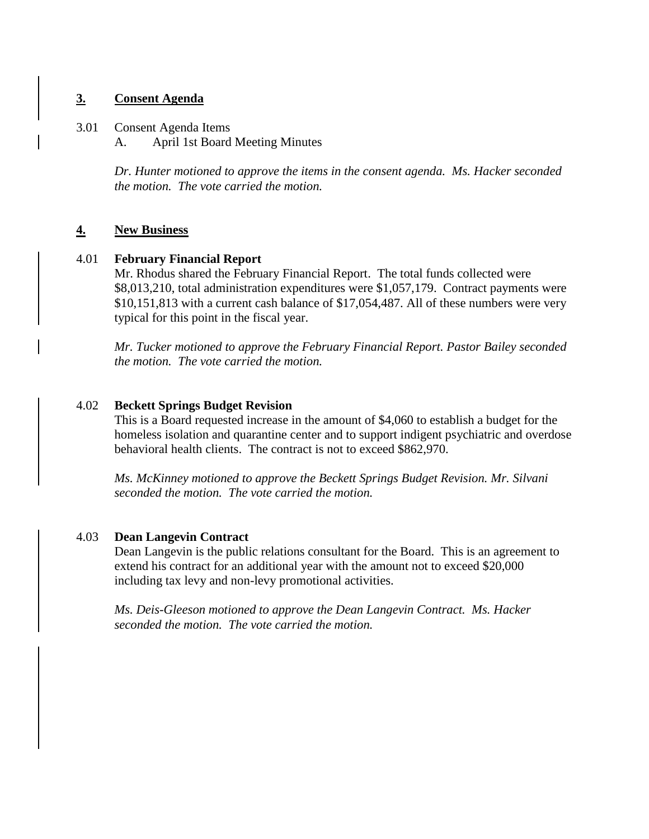# **3. Consent Agenda**

3.01 Consent Agenda Items A. April 1st Board Meeting Minutes

> *Dr. Hunter motioned to approve the items in the consent agenda. Ms. Hacker seconded the motion. The vote carried the motion.*

# **4. New Business**

# 4.01 **February Financial Report**

Mr. Rhodus shared the February Financial Report. The total funds collected were \$8,013,210, total administration expenditures were \$1,057,179. Contract payments were \$10,151,813 with a current cash balance of \$17,054,487. All of these numbers were very typical for this point in the fiscal year.

*Mr. Tucker motioned to approve the February Financial Report. Pastor Bailey seconded the motion. The vote carried the motion.*

# 4.02 **Beckett Springs Budget Revision**

This is a Board requested increase in the amount of \$4,060 to establish a budget for the homeless isolation and quarantine center and to support indigent psychiatric and overdose behavioral health clients. The contract is not to exceed \$862,970.

*Ms. McKinney motioned to approve the Beckett Springs Budget Revision. Mr. Silvani seconded the motion. The vote carried the motion.*

# 4.03 **Dean Langevin Contract**

Dean Langevin is the public relations consultant for the Board. This is an agreement to extend his contract for an additional year with the amount not to exceed \$20,000 including tax levy and non-levy promotional activities.

*Ms. Deis-Gleeson motioned to approve the Dean Langevin Contract. Ms. Hacker seconded the motion. The vote carried the motion.*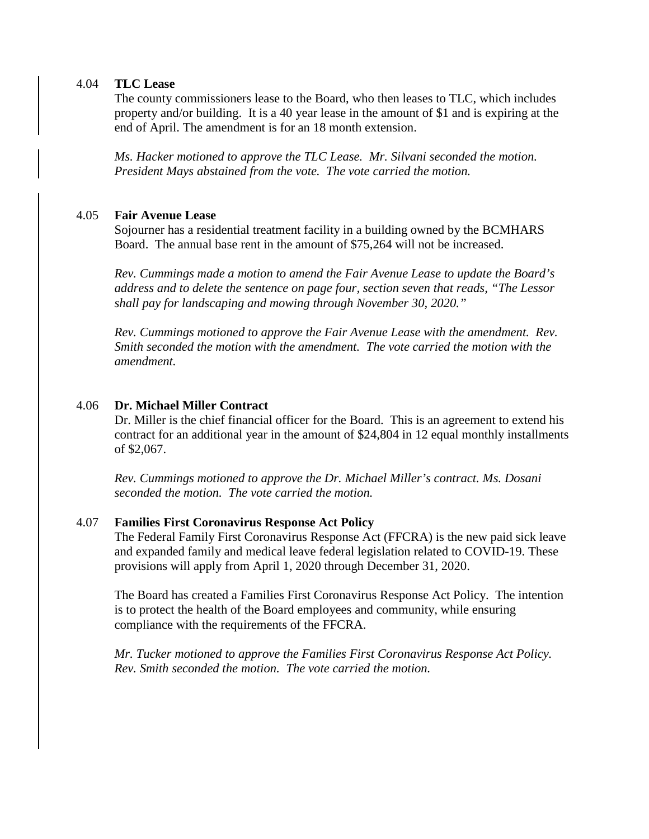#### 4.04 **TLC Lease**

The county commissioners lease to the Board, who then leases to TLC, which includes property and/or building. It is a 40 year lease in the amount of \$1 and is expiring at the end of April. The amendment is for an 18 month extension.

*Ms. Hacker motioned to approve the TLC Lease. Mr. Silvani seconded the motion. President Mays abstained from the vote. The vote carried the motion.*

# 4.05 **Fair Avenue Lease**

Sojourner has a residential treatment facility in a building owned by the BCMHARS Board. The annual base rent in the amount of \$75,264 will not be increased.

*Rev. Cummings made a motion to amend the Fair Avenue Lease to update the Board's address and to delete the sentence on page four, section seven that reads, "The Lessor shall pay for landscaping and mowing through November 30, 2020."*

*Rev. Cummings motioned to approve the Fair Avenue Lease with the amendment. Rev. Smith seconded the motion with the amendment. The vote carried the motion with the amendment.*

# 4.06 **Dr. Michael Miller Contract**

Dr. Miller is the chief financial officer for the Board. This is an agreement to extend his contract for an additional year in the amount of \$24,804 in 12 equal monthly installments of \$2,067.

*Rev. Cummings motioned to approve the Dr. Michael Miller's contract. Ms. Dosani seconded the motion. The vote carried the motion.*

# 4.07 **Families First Coronavirus Response Act Policy**

The Federal Family First Coronavirus Response Act (FFCRA) is the new paid sick leave and expanded family and medical leave federal legislation related to COVID-19. These provisions will apply from April 1, 2020 through December 31, 2020.

The Board has created a Families First Coronavirus Response Act Policy. The intention is to protect the health of the Board employees and community, while ensuring compliance with the requirements of the FFCRA.

*Mr. Tucker motioned to approve the Families First Coronavirus Response Act Policy. Rev. Smith seconded the motion. The vote carried the motion.*